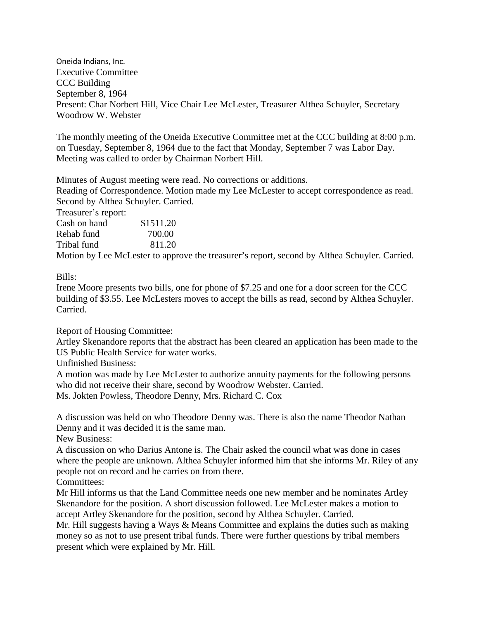Oneida Indians, Inc. Executive Committee CCC Building September 8, 1964 Present: Char Norbert Hill, Vice Chair Lee McLester, Treasurer Althea Schuyler, Secretary Woodrow W. Webster

The monthly meeting of the Oneida Executive Committee met at the CCC building at 8:00 p.m. on Tuesday, September 8, 1964 due to the fact that Monday, September 7 was Labor Day. Meeting was called to order by Chairman Norbert Hill.

Minutes of August meeting were read. No corrections or additions.

Reading of Correspondence. Motion made my Lee McLester to accept correspondence as read. Second by Althea Schuyler. Carried.

Treasurer's report:

Cash on hand \$1511.20 Rehab fund 700.00 Tribal fund 811.20

Motion by Lee McLester to approve the treasurer's report, second by Althea Schuyler. Carried.

Bills:

Irene Moore presents two bills, one for phone of \$7.25 and one for a door screen for the CCC building of \$3.55. Lee McLesters moves to accept the bills as read, second by Althea Schuyler. Carried.

Report of Housing Committee:

Artley Skenandore reports that the abstract has been cleared an application has been made to the US Public Health Service for water works.

Unfinished Business:

A motion was made by Lee McLester to authorize annuity payments for the following persons who did not receive their share, second by Woodrow Webster. Carried. Ms. Jokten Powless, Theodore Denny, Mrs. Richard C. Cox

A discussion was held on who Theodore Denny was. There is also the name Theodor Nathan Denny and it was decided it is the same man.

New Business:

A discussion on who Darius Antone is. The Chair asked the council what was done in cases where the people are unknown. Althea Schuyler informed him that she informs Mr. Riley of any people not on record and he carries on from there.

Committees:

Mr Hill informs us that the Land Committee needs one new member and he nominates Artley Skenandore for the position. A short discussion followed. Lee McLester makes a motion to accept Artley Skenandore for the position, second by Althea Schuyler. Carried.

Mr. Hill suggests having a Ways & Means Committee and explains the duties such as making money so as not to use present tribal funds. There were further questions by tribal members present which were explained by Mr. Hill.